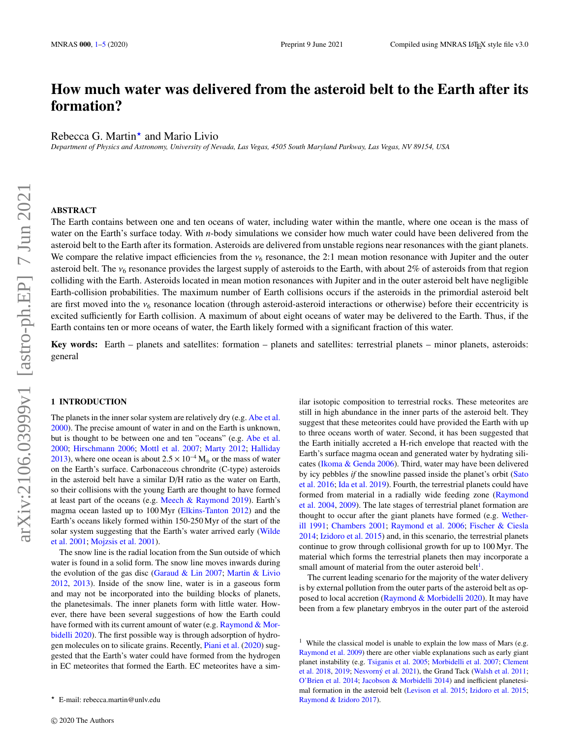# How much water was delivered from the asteroid belt to the Earth after its formation?

# Rebecca G. Martin<sup>\*</sup> and Mario Livio

*Department of Physics and Astronomy, University of Nevada, Las Vegas, 4505 South Maryland Parkway, Las Vegas, NV 89154, USA*

# ABSTRACT

The Earth contains between one and ten oceans of water, including water within the mantle, where one ocean is the mass of water on the Earth's surface today. With *n*-body simulations we consider how much water could have been delivered from the asteroid belt to the Earth after its formation. Asteroids are delivered from unstable regions near resonances with the giant planets. We compare the relative impact efficiencies from the  $v<sub>6</sub>$  resonance, the 2:1 mean motion resonance with Jupiter and the outer asteroid belt. The  $v_6$  resonance provides the largest supply of asteroids to the Earth, with about 2% of asteroids from that region colliding with the Earth. Asteroids located in mean motion resonances with Jupiter and in the outer asteroid belt have negligible Earth-collision probabilities. The maximum number of Earth collisions occurs if the asteroids in the primordial asteroid belt are first moved into the  $v_6$  resonance location (through asteroid-asteroid interactions or otherwise) before their eccentricity is excited sufficiently for Earth collision. A maximum of about eight oceans of water may be delivered to the Earth. Thus, if the Earth contains ten or more oceans of water, the Earth likely formed with a significant fraction of this water.

Key words: Earth – planets and satellites: formation – planets and satellites: terrestrial planets – minor planets, asteroids: general

# <span id="page-0-0"></span>1 INTRODUCTION

The planets in the inner solar system are relatively dry (e.g. [Abe et al.](#page-4-0) [2000\)](#page-4-0). The precise amount of water in and on the Earth is unknown, but is thought to be between one and ten "oceans" (e.g. [Abe et al.](#page-4-0) [2000;](#page-4-0) [Hirschmann](#page-4-1) [2006;](#page-4-1) [Mottl et al.](#page-4-2) [2007;](#page-4-2) [Marty](#page-4-3) [2012;](#page-4-3) [Halliday](#page-4-4) [2013\)](#page-4-4), where one ocean is about  $2.5 \times 10^{-4}$  M<sub>⊕</sub> or the mass of water on the Earth's surface. Carbonaceous chrondrite (C-type) asteroids in the asteroid belt have a similar D/H ratio as the water on Earth, so their collisions with the young Earth are thought to have formed at least part of the oceans (e.g. [Meech & Raymond](#page-4-5) [2019\)](#page-4-5). Earth's magma ocean lasted up to 100 Myr [\(Elkins-Tanton](#page-4-6) [2012\)](#page-4-6) and the Earth's oceans likely formed within 150-250 Myr of the start of the solar system suggesting that the Earth's water arrived early [\(Wilde](#page-4-7) [et al.](#page-4-7) [2001;](#page-4-7) [Mojzsis et al.](#page-4-8) [2001\)](#page-4-8).

The snow line is the radial location from the Sun outside of which water is found in a solid form. The snow line moves inwards during the evolution of the gas disc (Garaud  $& Lin 2007$ ; Martin  $& Livio$ [2012,](#page-4-10) [2013\)](#page-4-11). Inside of the snow line, water is in a gaseous form and may not be incorporated into the building blocks of planets, the planetesimals. The inner planets form with little water. However, there have been several suggestions of how the Earth could have formed with its current amount of water (e.g. [Raymond & Mor](#page-4-12)[bidelli](#page-4-12) [2020\)](#page-4-12). The first possible way is through adsorption of hydrogen molecules on to silicate grains. Recently, [Piani et al.](#page-4-13) [\(2020\)](#page-4-13) suggested that the Earth's water could have formed from the hydrogen in EC meteorites that formed the Earth. EC meteorites have a similar isotopic composition to terrestrial rocks. These meteorites are still in high abundance in the inner parts of the asteroid belt. They suggest that these meteorites could have provided the Earth with up to three oceans worth of water. Second, it has been suggested that the Earth initially accreted a H-rich envelope that reacted with the Earth's surface magma ocean and generated water by hydrating silicates [\(Ikoma & Genda](#page-4-14) [2006\)](#page-4-14). Third, water may have been delivered by icy pebbles *if* the snowline passed inside the planet's orbit [\(Sato](#page-4-15) [et al.](#page-4-15) [2016;](#page-4-15) [Ida et al.](#page-4-16) [2019\)](#page-4-16). Fourth, the terrestrial planets could have formed from material in a radially wide feeding zone [\(Raymond](#page-4-17) [et al.](#page-4-17) [2004,](#page-4-17) [2009\)](#page-4-18). The late stages of terrestrial planet formation are thought to occur after the giant planets have formed (e.g. [Wether](#page-4-19)[ill](#page-4-19) [1991;](#page-4-19) [Chambers](#page-4-20) [2001;](#page-4-20) [Raymond et al.](#page-4-21) [2006;](#page-4-21) [Fischer & Ciesla](#page-4-22) [2014;](#page-4-22) [Izidoro et al.](#page-4-23) [2015\)](#page-4-23) and, in this scenario, the terrestrial planets continue to grow through collisional growth for up to 100 Myr. The material which forms the terrestrial planets then may incorporate a small amount of material from the outer asteroid belt<sup>[1](#page-0-1)</sup>.

The current leading scenario for the majority of the water delivery is by external pollution from the outer parts of the asteroid belt as opposed to local accretion [\(Raymond & Morbidelli](#page-4-12) [2020\)](#page-4-12). It may have been from a few planetary embryos in the outer part of the asteroid

<sup>?</sup> E-mail: rebecca.martin@unlv.edu

<span id="page-0-1"></span><sup>&</sup>lt;sup>1</sup> While the classical model is unable to explain the low mass of Mars (e.g. [Raymond et al.](#page-4-18) [2009\)](#page-4-18) there are other viable explanations such as early giant planet instability (e.g. [Tsiganis et al.](#page-4-24) [2005;](#page-4-24) [Morbidelli et al.](#page-4-25) [2007;](#page-4-25) [Clement](#page-4-26) [et al.](#page-4-26) [2018,](#page-4-26) [2019;](#page-4-27) Nesvorný et al. [2021\)](#page-4-28), the Grand Tack [\(Walsh et al.](#page-4-29) [2011;](#page-4-29) [O'Brien et al.](#page-4-30) [2014;](#page-4-30) [Jacobson & Morbidelli](#page-4-31) [2014\)](#page-4-31) and inefficient planetesimal formation in the asteroid belt [\(Levison et al.](#page-4-32) [2015;](#page-4-32) [Izidoro et al.](#page-4-23) [2015;](#page-4-23) [Raymond & Izidoro](#page-4-33) [2017\)](#page-4-33).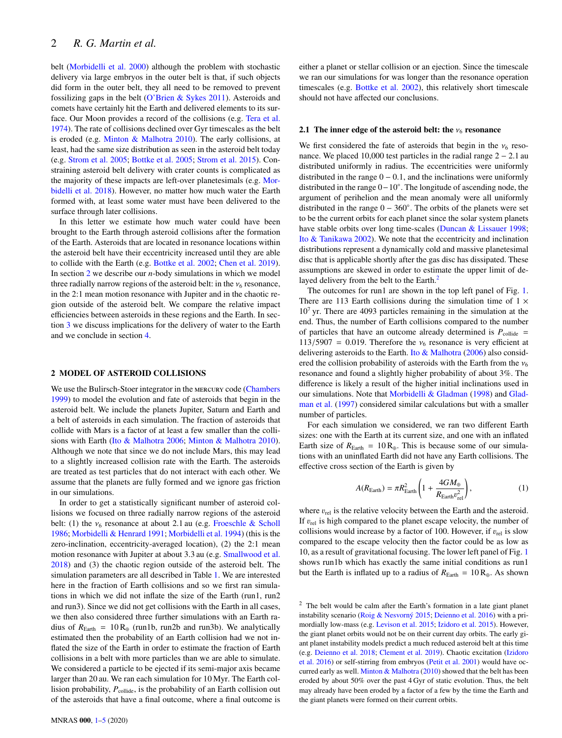belt [\(Morbidelli et al.](#page-4-34) [2000\)](#page-4-34) although the problem with stochastic delivery via large embryos in the outer belt is that, if such objects did form in the outer belt, they all need to be removed to prevent fossilizing gaps in the belt [\(O'Brien & Sykes](#page-4-35) [2011\)](#page-4-35). Asteroids and comets have certainly hit the Earth and delivered elements to its surface. Our Moon provides a record of the collisions (e.g. [Tera et al.](#page-4-36) [1974\)](#page-4-36). The rate of collisions declined over Gyr timescales as the belt is eroded (e.g. [Minton & Malhotra](#page-4-37) [2010\)](#page-4-37). The early collisions, at least, had the same size distribution as seen in the asteroid belt today (e.g. [Strom et al.](#page-4-38) [2005;](#page-4-38) [Bottke et al.](#page-4-39) [2005;](#page-4-39) [Strom et al.](#page-4-40) [2015\)](#page-4-40). Constraining asteroid belt delivery with crater counts is complicated as the majority of these impacts are left-over planetesimals (e.g. [Mor](#page-4-41)[bidelli et al.](#page-4-41) [2018\)](#page-4-41). However, no matter how much water the Earth formed with, at least some water must have been delivered to the surface through later collisions.

In this letter we estimate how much water could have been brought to the Earth through asteroid collisions after the formation of the Earth. Asteroids that are located in resonance locations within the asteroid belt have their eccentricity increased until they are able to collide with the Earth (e.g. [Bottke et al.](#page-4-42) [2002;](#page-4-42) [Chen et al.](#page-4-43) [2019\)](#page-4-43). In section [2](#page-1-0) we describe our *n*-body simulations in which we model three radially narrow regions of the asteroid belt: in the  $v_6$  resonance, in the 2:1 mean motion resonance with Jupiter and in the chaotic region outside of the asteroid belt. We compare the relative impact efficiencies between asteroids in these regions and the Earth. In section [3](#page-3-1) we discuss implications for the delivery of water to the Earth and we conclude in section [4.](#page-3-0)

#### <span id="page-1-0"></span>2 MODEL OF ASTEROID COLLISIONS

We use the Bulirsch-Stoer integrator in the MERCURY code [\(Chambers](#page-4-44) [1999\)](#page-4-44) to model the evolution and fate of asteroids that begin in the asteroid belt. We include the planets Jupiter, Saturn and Earth and a belt of asteroids in each simulation. The fraction of asteroids that collide with Mars is a factor of at least a few smaller than the collisions with Earth [\(Ito & Malhotra](#page-4-45) [2006;](#page-4-45) [Minton & Malhotra](#page-4-37) [2010\)](#page-4-37). Although we note that since we do not include Mars, this may lead to a slightly increased collision rate with the Earth. The asteroids are treated as test particles that do not interact with each other. We assume that the planets are fully formed and we ignore gas friction in our simulations.

In order to get a statistically significant number of asteroid collisions we focused on three radially narrow regions of the asteroid belt: (1) the  $v_6$  resonance at about 2.1 au (e.g. [Froeschle & Scholl](#page-4-46) [1986;](#page-4-46) [Morbidelli & Henrard](#page-4-47) [1991;](#page-4-47) [Morbidelli et al.](#page-4-48) [1994\)](#page-4-48) (this is the zero-inclination, eccentricity-averaged location), (2) the 2:1 mean motion resonance with Jupiter at about 3.3 au (e.g. [Smallwood et al.](#page-4-49) [2018\)](#page-4-49) and (3) the chaotic region outside of the asteroid belt. The simulation parameters are all described in Table [1.](#page-2-0) We are interested here in the fraction of Earth collisions and so we first ran simulations in which we did not inflate the size of the Earth (run1, run2 and run3). Since we did not get collisions with the Earth in all cases, we then also considered three further simulations with an Earth radius of  $R_{\text{Earth}} = 10 R_{\oplus}$  (run1b, run2b and run3b). We analytically estimated then the probability of an Earth collision had we not inflated the size of the Earth in order to estimate the fraction of Earth collisions in a belt with more particles than we are able to simulate. We considered a particle to be ejected if its semi-major axis became larger than 20 au. We ran each simulation for 10 Myr. The Earth collision probability,  $P_{\text{collide}}$ , is the probability of an Earth collision out of the asteroids that have a final outcome, where a final outcome is either a planet or stellar collision or an ejection. Since the timescale we ran our simulations for was longer than the resonance operation timescales (e.g. [Bottke et al.](#page-4-42) [2002\)](#page-4-42), this relatively short timescale should not have affected our conclusions.

#### <span id="page-1-2"></span>2.1 The inner edge of the asteroid belt: the  $v_6$  resonance

We first considered the fate of asteroids that begin in the  $v_6$  resonance. We placed 10,000 test particles in the radial range 2 <sup>−</sup> <sup>2</sup>.1 au distributed uniformly in radius. The eccentricities were uniformly distributed in the range  $0 - 0.1$ , and the inclinations were uniformly distributed in the range 0−10◦ . The longitude of ascending node, the argument of perihelion and the mean anomaly were all uniformly distributed in the range  $0 - 360^\circ$ . The orbits of the planets were set to be the current orbits for each planet since the solar system planets have stable orbits over long time-scales [\(Duncan & Lissauer](#page-4-50) [1998;](#page-4-50) [Ito & Tanikawa](#page-4-51) [2002\)](#page-4-51). We note that the eccentricity and inclination distributions represent a dynamically cold and massive planetesimal disc that is applicable shortly after the gas disc has dissipated. These assumptions are skewed in order to estimate the upper limit of de-layed delivery from the belt to the Earth.<sup>[2](#page-1-1)</sup>

The outcomes for run1 are shown in the top left panel of Fig. [1.](#page-2-1) There are 113 Earth collisions during the simulation time of  $1 \times$  $10<sup>7</sup>$  yr. There are 4093 particles remaining in the simulation at the end. Thus, the number of Earth collisions compared to the number of particles that have an outcome already determined is  $P_{\text{collide}} =$ 113/5907 = 0.019. Therefore the  $v_6$  resonance is very efficient at delivering asteroids to the Earth. [Ito & Malhotra](#page-4-45) [\(2006\)](#page-4-45) also considered the collision probability of asteroids with the Earth from the  $v_6$ resonance and found a slightly higher probability of about 3%. The difference is likely a result of the higher initial inclinations used in our simulations. Note that [Morbidelli & Gladman](#page-4-52) [\(1998\)](#page-4-52) and [Glad](#page-4-53)[man et al.](#page-4-53) [\(1997\)](#page-4-53) considered similar calculations but with a smaller number of particles.

For each simulation we considered, we ran two different Earth sizes: one with the Earth at its current size, and one with an inflated Earth size of  $R_{\text{Earth}} = 10 R_{\oplus}$ . This is because some of our simulations with an uninflated Earth did not have any Earth collisions. The effective cross section of the Earth is given by

$$
A(R_{\text{Earth}}) = \pi R_{\text{Earth}}^2 \left( 1 + \frac{4GM_{\oplus}}{R_{\text{Earth}} v_{\text{rel}}^2} \right),\tag{1}
$$

where  $v_{rel}$  is the relative velocity between the Earth and the asteroid. If  $v_{rel}$  is high compared to the planet escape velocity, the number of collisions would increase by a factor of 100. However, if  $v_{rel}$  is slow compared to the escape velocity then the factor could be as low as 10, as a result of gravitational focusing. The lower left panel of Fig. [1](#page-2-1) shows run1b which has exactly the same initial conditions as run1 but the Earth is inflated up to a radius of  $R_{\text{Earth}} = 10 R_{\oplus}$ . As shown

<span id="page-1-1"></span> $2 \text{ The belt would be calm after the Earth's formation in a late giant planet}$ instability scenario (Roig & Nesvorný [2015;](#page-4-54) [Deienno et al.](#page-4-55) [2016\)](#page-4-55) with a primordially low-mass (e.g. [Levison et al.](#page-4-32) [2015;](#page-4-32) [Izidoro et al.](#page-4-23) [2015\)](#page-4-23). However, the giant planet orbits would not be on their current day orbits. The early giant planet instability models predict a much reduced asteroid belt at this time (e.g. [Deienno et al.](#page-4-56) [2018;](#page-4-56) [Clement et al.](#page-4-27) [2019\)](#page-4-27). Chaotic excitation [\(Izidoro](#page-4-57) [et al.](#page-4-57) [2016\)](#page-4-57) or self-stirring from embryos [\(Petit et al.](#page-4-58) [2001\)](#page-4-58) would have occurred early as well. [Minton & Malhotra](#page-4-37) [\(2010\)](#page-4-37) showed that the belt has been eroded by about 50% over the past 4 Gyr of static evolution. Thus, the belt may already have been eroded by a factor of a few by the time the Earth and the giant planets were formed on their current orbits.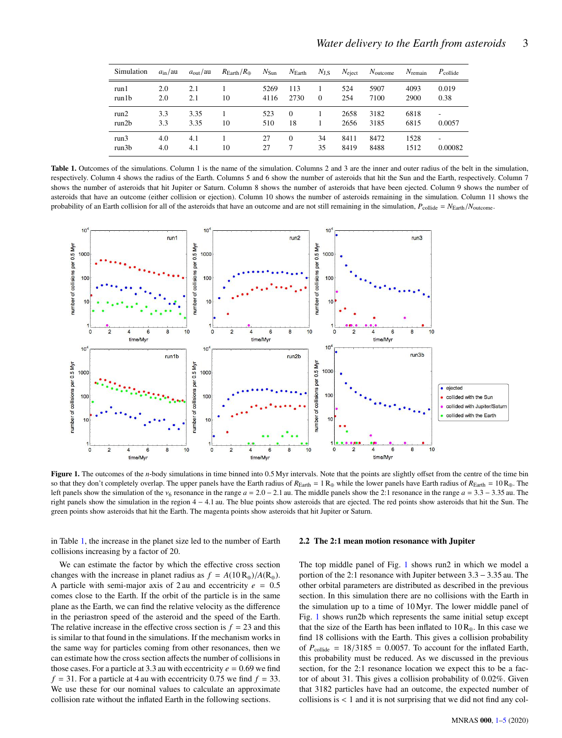<span id="page-2-0"></span>

| Simulation    | $a_{\rm in}/\rm au$ | $a_{\text{out}}$ /au | $R_{\rm Earth}/R_{\oplus}$ | $N_{\rm Sun}$ | $N_{\rm Earth}$ | $N_{\rm J.S}$ | $N_{\text{eject}}$ | $N_{\text{outcome}}$ | $N_{\text{remain}}$ | $P_{\text{collide}}$               |
|---------------|---------------------|----------------------|----------------------------|---------------|-----------------|---------------|--------------------|----------------------|---------------------|------------------------------------|
| run1<br>run1b | 2.0<br>2.0          | 2.1<br>2.1           | 10                         | 5269<br>4116  | 113<br>2730     | $\mathbf{0}$  | 524<br>254         | 5907<br>7100         | 4093<br>2900        | 0.019<br>0.38                      |
| run2<br>run2b | 3.3<br>3.3          | 3.35<br>3.35         | 10                         | 523<br>510    | $\Omega$<br>18  |               | 2658<br>2656       | 3182<br>3185         | 6818<br>6815        | $\overline{\phantom{a}}$<br>0.0057 |
| run3<br>run3b | 4.0<br>4.0          | 4.1<br>4.1           | 10                         | 27<br>27      | $\Omega$        | 34<br>35      | 8411<br>8419       | 8472<br>8488         | 1528<br>1512        | 0.00082                            |

Table 1. Outcomes of the simulations. Column 1 is the name of the simulation. Columns 2 and 3 are the inner and outer radius of the belt in the simulation, respectively. Column 4 shows the radius of the Earth. Columns 5 and 6 show the number of asteroids that hit the Sun and the Earth, respectively. Column 7 shows the number of asteroids that hit Jupiter or Saturn. Column 8 shows the number of asteroids that have been ejected. Column 9 shows the number of asteroids that have an outcome (either collision or ejection). Column 10 shows the number of asteroids remaining in the simulation. Column 11 shows the probability of an Earth collision for all of the asteroids that have an outcome and are not still remaining in the simulation,  $P_{\text{collide}} = N_{\text{Earth}}/N_{\text{outcome}}$ .



Figure 1. The outcomes of the *n*-body simulations in time binned into 0.5 Myr intervals. Note that the points are slightly offset from the centre of the time bin so that they don't completely overlap. The upper panels have the Earth radius of  $R_{Earth} = 1 R_{\oplus}$  while the lower panels have Earth radius of  $R_{Earth} = 10 R_{\oplus}$ . The left panels show the simulation of the  $v_6$  resonance in the range  $a = 2.0 - 2.1$  au. The middle panels show the 2:1 resonance in the range  $a = 3.3 - 3.35$  au. The right panels show the simulation in the region 4 <sup>−</sup> <sup>4</sup>.1 au. The blue points show asteroids that are ejected. The red points show asteroids that hit the Sun. The green points show asteroids that hit the Earth. The magenta points show asteroids that hit Jupiter or Saturn.

in Table [1,](#page-2-0) the increase in the planet size led to the number of Earth collisions increasing by a factor of 20.

We can estimate the factor by which the effective cross section changes with the increase in planet radius as  $f = A(10 R_{\oplus})/A(R_{\oplus})$ . A particle with semi-major axis of 2 au and eccentricity  $e = 0.5$ comes close to the Earth. If the orbit of the particle is in the same plane as the Earth, we can find the relative velocity as the difference in the periastron speed of the asteroid and the speed of the Earth. The relative increase in the effective cross section is  $f = 23$  and this is similar to that found in the simulations. If the mechanism works in the same way for particles coming from other resonances, then we can estimate how the cross section affects the number of collisions in those cases. For a particle at 3.3 au with eccentricity  $e = 0.69$  we find  $f = 31$ . For a particle at 4 au with eccentricity 0.75 we find  $f = 33$ . We use these for our nominal values to calculate an approximate collision rate without the inflated Earth in the following sections.

#### <span id="page-2-1"></span>2.2 The 2:1 mean motion resonance with Jupiter

The top middle panel of Fig. [1](#page-2-1) shows run2 in which we model a portion of the 2:1 resonance with Jupiter between 3.<sup>3</sup> <sup>−</sup> <sup>3</sup>.35 au. The other orbital parameters are distributed as described in the previous section. In this simulation there are no collisions with the Earth in the simulation up to a time of 10 Myr. The lower middle panel of Fig. [1](#page-2-1) shows run2b which represents the same initial setup except that the size of the Earth has been inflated to  $10 R_\oplus$ . In this case we find 18 collisions with the Earth. This gives a collision probability of  $P_{\text{collide}} = 18/3185 = 0.0057$ . To account for the inflated Earth, this probability must be reduced. As we discussed in the previous section, for the 2:1 resonance location we expect this to be a factor of about 31. This gives a collision probability of 0.02%. Given that 3182 particles have had an outcome, the expected number of collisions is  $< 1$  and it is not surprising that we did not find any col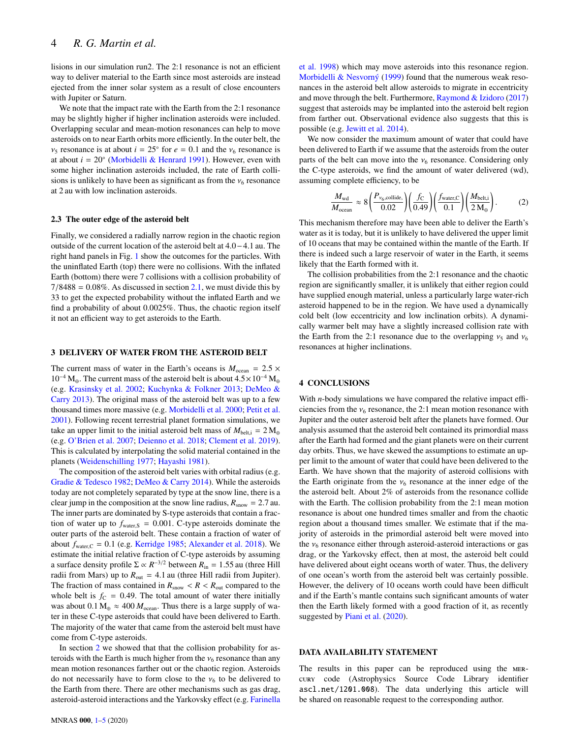lisions in our simulation run2. The 2:1 resonance is not an efficient way to deliver material to the Earth since most asteroids are instead ejected from the inner solar system as a result of close encounters with Jupiter or Saturn.

We note that the impact rate with the Earth from the 2:1 resonance may be slightly higher if higher inclination asteroids were included. Overlapping secular and mean-motion resonances can help to move asteroids on to near Earth orbits more efficiently. In the outer belt, the  $v_5$  resonance is at about  $i = 25^\circ$  for  $e = 0.1$  and the  $v_6$  resonance is at about  $i = 20^\circ$  (Morbidelli & Henrard 1991). However, even with at about  $i = 20°$  [\(Morbidelli & Henrard](#page-4-47) [1991\)](#page-4-47). However, even with some higher inclination asteroids included, the rate of Earth collisions is unlikely to have been as significant as from the  $v_6$  resonance at 2 au with low inclination asteroids.

#### 2.3 The outer edge of the asteroid belt

Finally, we considered a radially narrow region in the chaotic region outside of the current location of the asteroid belt at 4.0−4.1 au. The right hand panels in Fig. [1](#page-2-1) show the outcomes for the particles. With the uninflated Earth (top) there were no collisions. With the inflated Earth (bottom) there were 7 collisions with a collision probability of  $7/8488 = 0.08\%$ . As discussed in section [2.1,](#page-1-2) we must divide this by 33 to get the expected probability without the inflated Earth and we find a probability of about 0.0025%. Thus, the chaotic region itself it not an efficient way to get asteroids to the Earth.

#### <span id="page-3-1"></span>3 DELIVERY OF WATER FROM THE ASTEROID BELT

The current mass of water in the Earth's oceans is  $M_{\text{ocean}} = 2.5 \times$  $10^{-4}$  M<sub>⊕</sub>. The current mass of the asteroid belt is about  $4.5 \times 10^{-4}$  M<sub>⊕</sub> (e.g. [Krasinsky et al.](#page-4-59) [2002;](#page-4-59) [Kuchynka & Folkner](#page-4-60) [2013;](#page-4-60) [DeMeo &](#page-4-61) [Carry](#page-4-61) [2013\)](#page-4-61). The original mass of the asteroid belt was up to a few thousand times more massive (e.g. [Morbidelli et al.](#page-4-34) [2000;](#page-4-34) [Petit et al.](#page-4-58) [2001\)](#page-4-58). Following recent terrestrial planet formation simulations, we take an upper limit to the initial asteroid belt mass of  $M_{\text{belt.i}} = 2 M_{\oplus}$ (e.g. [O'Brien et al.](#page-4-62) [2007;](#page-4-62) [Deienno et al.](#page-4-56) [2018;](#page-4-56) [Clement et al.](#page-4-27) [2019\)](#page-4-27). This is calculated by interpolating the solid material contained in the planets [\(Weidenschilling](#page-4-63) [1977;](#page-4-63) [Hayashi](#page-4-64) [1981\)](#page-4-64).

The composition of the asteroid belt varies with orbital radius (e.g. [Gradie & Tedesco](#page-4-65) [1982;](#page-4-65) [DeMeo & Carry](#page-4-66) [2014\)](#page-4-66). While the asteroids today are not completely separated by type at the snow line, there is a clear jump in the composition at the snow line radius,  $R_{\text{snow}} = 2.7$  au. The inner parts are dominated by S-type asteroids that contain a fraction of water up to  $f_{\text{water,S}} = 0.001$ . C-type asteroids dominate the outer parts of the asteroid belt. These contain a fraction of water of about  $f_{\text{water,C}} = 0.1$  (e.g. [Kerridge](#page-4-67) [1985;](#page-4-67) [Alexander et al.](#page-4-68) [2018\)](#page-4-68). We estimate the initial relative fraction of C-type asteroids by assuming a surface density profile  $\Sigma \propto R^{-3/2}$  between  $R_{\text{in}} = 1.55$  au (three Hill radii from Junitar) radii from Mars) up to  $R_{\text{out}} = 4.1$  au (three Hill radii from Jupiter). The fraction of mass contained in  $R_{\text{snow}} < R < R_{\text{out}}$  compared to the whole belt is  $f_C = 0.49$ . The total amount of water there initially was about  $0.1 M_{\oplus} \approx 400 M_{\text{ocean}}$ . Thus there is a large supply of water in these C-type asteroids that could have been delivered to Earth. The majority of the water that came from the asteroid belt must have come from C-type asteroids.

In section [2](#page-1-0) we showed that that the collision probability for asteroids with the Earth is much higher from the  $v_6$  resonance than any mean motion resonances farther out or the chaotic region. Asteroids do not necessarily have to form close to the  $v_6$  to be delivered to the Earth from there. There are other mechanisms such as gas drag, asteroid-asteroid interactions and the Yarkovsky effect (e.g. [Farinella](#page-4-69) [et al.](#page-4-69) [1998\)](#page-4-69) which may move asteroids into this resonance region. Morbidelli & Nesvorný [\(1999\)](#page-4-70) found that the numerous weak resonances in the asteroid belt allow asteroids to migrate in eccentricity and move through the belt. Furthermore, [Raymond & Izidoro](#page-4-33)  $(2017)$ suggest that asteroids may be implanted into the asteroid belt region from farther out. Observational evidence also suggests that this is possible (e.g. [Jewitt et al.](#page-4-71) [2014\)](#page-4-71).

We now consider the maximum amount of water that could have been delivered to Earth if we assume that the asteroids from the outer parts of the belt can move into the  $v_6$  resonance. Considering only the C-type asteroids, we find the amount of water delivered (wd), assuming complete efficiency, to be

$$
\frac{M_{\text{wd}}}{M_{\text{ocean}}} \approx 8 \left( \frac{P_{\nu_6, \text{collide}}}{0.02} \right) \left( \frac{f_{\text{C}}}{0.49} \right) \left( \frac{f_{\text{water,C}}}{0.1} \right) \left( \frac{M_{\text{belt,i}}}{2 M_{\oplus}} \right). \tag{2}
$$

This mechanism therefore may have been able to deliver the Earth's water as it is today, but it is unlikely to have delivered the upper limit of 10 oceans that may be contained within the mantle of the Earth. If there is indeed such a large reservoir of water in the Earth, it seems likely that the Earth formed with it.

The collision probabilities from the 2:1 resonance and the chaotic region are significantly smaller, it is unlikely that either region could have supplied enough material, unless a particularly large water-rich asteroid happened to be in the region. We have used a dynamically cold belt (low eccentricity and low inclination orbits). A dynamically warmer belt may have a slightly increased collision rate with the Earth from the 2:1 resonance due to the overlapping  $v_5$  and  $v_6$ resonances at higher inclinations.

# <span id="page-3-0"></span>4 CONCLUSIONS

With *n*-body simulations we have compared the relative impact efficiencies from the  $v_6$  resonance, the 2:1 mean motion resonance with Jupiter and the outer asteroid belt after the planets have formed. Our analysis assumed that the asteroid belt contained its primordial mass after the Earth had formed and the giant planets were on their current day orbits. Thus, we have skewed the assumptions to estimate an upper limit to the amount of water that could have been delivered to the Earth. We have shown that the majority of asteroid collisions with the Earth originate from the  $v_6$  resonance at the inner edge of the the asteroid belt. About 2% of asteroids from the resonance collide with the Earth. The collision probability from the 2:1 mean motion resonance is about one hundred times smaller and from the chaotic region about a thousand times smaller. We estimate that if the majority of asteroids in the primordial asteroid belt were moved into the  $v_6$  resonance either through asteroid-asteroid interactions or gas drag, or the Yarkovsky effect, then at most, the asteroid belt could have delivered about eight oceans worth of water. Thus, the delivery of one ocean's worth from the asteroid belt was certainly possible. However, the delivery of 10 oceans worth could have been difficult and if the Earth's mantle contains such significant amounts of water then the Earth likely formed with a good fraction of it, as recently suggested by [Piani et al.](#page-4-13) [\(2020\)](#page-4-13).

# DATA AVAILABILITY STATEMENT

The results in this paper can be reproduced using the mercury code (Astrophysics Source Code Library identifier ascl.net/1201.008). The data underlying this article will be shared on reasonable request to the corresponding author.